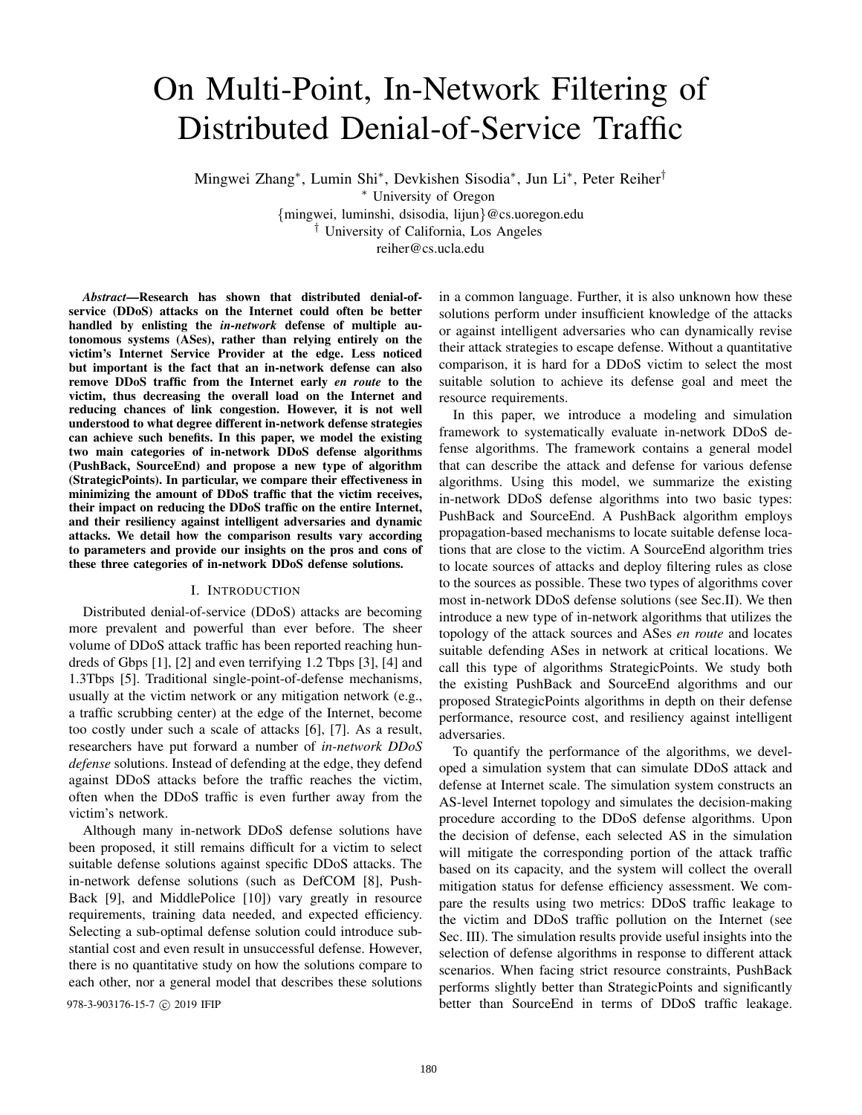# On Multi-Point, In-Network Filtering of Distributed Denial-of-Service Traffic

Mingwei Zhang<sup>∗</sup> , Lumin Shi<sup>∗</sup> , Devkishen Sisodia<sup>∗</sup> , Jun Li<sup>∗</sup> , Peter Reiher†

<sup>∗</sup> University of Oregon

{mingwei, luminshi, dsisodia, lijun}@cs.uoregon.edu

† University of California, Los Angeles

reiher@cs.ucla.edu

*Abstract*—Research has shown that distributed denial-ofservice (DDoS) attacks on the Internet could often be better handled by enlisting the *in-network* defense of multiple autonomous systems (ASes), rather than relying entirely on the victim's Internet Service Provider at the edge. Less noticed but important is the fact that an in-network defense can also remove DDoS traffic from the Internet early *en route* to the victim, thus decreasing the overall load on the Internet and reducing chances of link congestion. However, it is not well understood to what degree different in-network defense strategies can achieve such benefits. In this paper, we model the existing two main categories of in-network DDoS defense algorithms (PushBack, SourceEnd) and propose a new type of algorithm (StrategicPoints). In particular, we compare their effectiveness in minimizing the amount of DDoS traffic that the victim receives, their impact on reducing the DDoS traffic on the entire Internet, and their resiliency against intelligent adversaries and dynamic attacks. We detail how the comparison results vary according to parameters and provide our insights on the pros and cons of these three categories of in-network DDoS defense solutions.

## I. INTRODUCTION

Distributed denial-of-service (DDoS) attacks are becoming more prevalent and powerful than ever before. The sheer volume of DDoS attack traffic has been reported reaching hundreds of Gbps [1], [2] and even terrifying 1.2 Tbps [3], [4] and 1.3Tbps [5]. Traditional single-point-of-defense mechanisms, usually at the victim network or any mitigation network (e.g., a traffic scrubbing center) at the edge of the Internet, become too costly under such a scale of attacks [6], [7]. As a result, researchers have put forward a number of *in-network DDoS defense* solutions. Instead of defending at the edge, they defend against DDoS attacks before the traffic reaches the victim, often when the DDoS traffic is even further away from the victim's network.

Although many in-network DDoS defense solutions have been proposed, it still remains difficult for a victim to select suitable defense solutions against specific DDoS attacks. The in-network defense solutions (such as DefCOM [8], Push-Back [9], and MiddlePolice [10]) vary greatly in resource requirements, training data needed, and expected efficiency. Selecting a sub-optimal defense solution could introduce substantial cost and even result in unsuccessful defense. However, there is no quantitative study on how the solutions compare to each other, nor a general model that describes these solutions

in a common language. Further, it is also unknown how these solutions perform under insufficient knowledge of the attacks or against intelligent adversaries who can dynamically revise their attack strategies to escape defense. Without a quantitative comparison, it is hard for a DDoS victim to select the most suitable solution to achieve its defense goal and meet the resource requirements.

In this paper, we introduce a modeling and simulation framework to systematically evaluate in-network DDoS defense algorithms. The framework contains a general model that can describe the attack and defense for various defense algorithms. Using this model, we summarize the existing in-network DDoS defense algorithms into two basic types: PushBack and SourceEnd. A PushBack algorithm employs propagation-based mechanisms to locate suitable defense locations that are close to the victim. A SourceEnd algorithm tries to locate sources of attacks and deploy filtering rules as close to the sources as possible. These two types of algorithms cover most in-network DDoS defense solutions (see Sec.II). We then introduce a new type of in-network algorithms that utilizes the topology of the attack sources and ASes *en route* and locates suitable defending ASes in network at critical locations. We call this type of algorithms StrategicPoints. We study both the existing PushBack and SourceEnd algorithms and our proposed StrategicPoints algorithms in depth on their defense performance, resource cost, and resiliency against intelligent adversaries.

To quantify the performance of the algorithms, we developed a simulation system that can simulate DDoS attack and defense at Internet scale. The simulation system constructs an AS-level Internet topology and simulates the decision-making procedure according to the DDoS defense algorithms. Upon the decision of defense, each selected AS in the simulation will mitigate the corresponding portion of the attack traffic based on its capacity, and the system will collect the overall mitigation status for defense efficiency assessment. We compare the results using two metrics: DDoS traffic leakage to the victim and DDoS traffic pollution on the Internet (see Sec. III). The simulation results provide useful insights into the selection of defense algorithms in response to different attack scenarios. When facing strict resource constraints, PushBack performs slightly better than StrategicPoints and significantly 978-3-903176-15-7 c 2019 IFIP better than SourceEnd in terms of DDoS traffic leakage.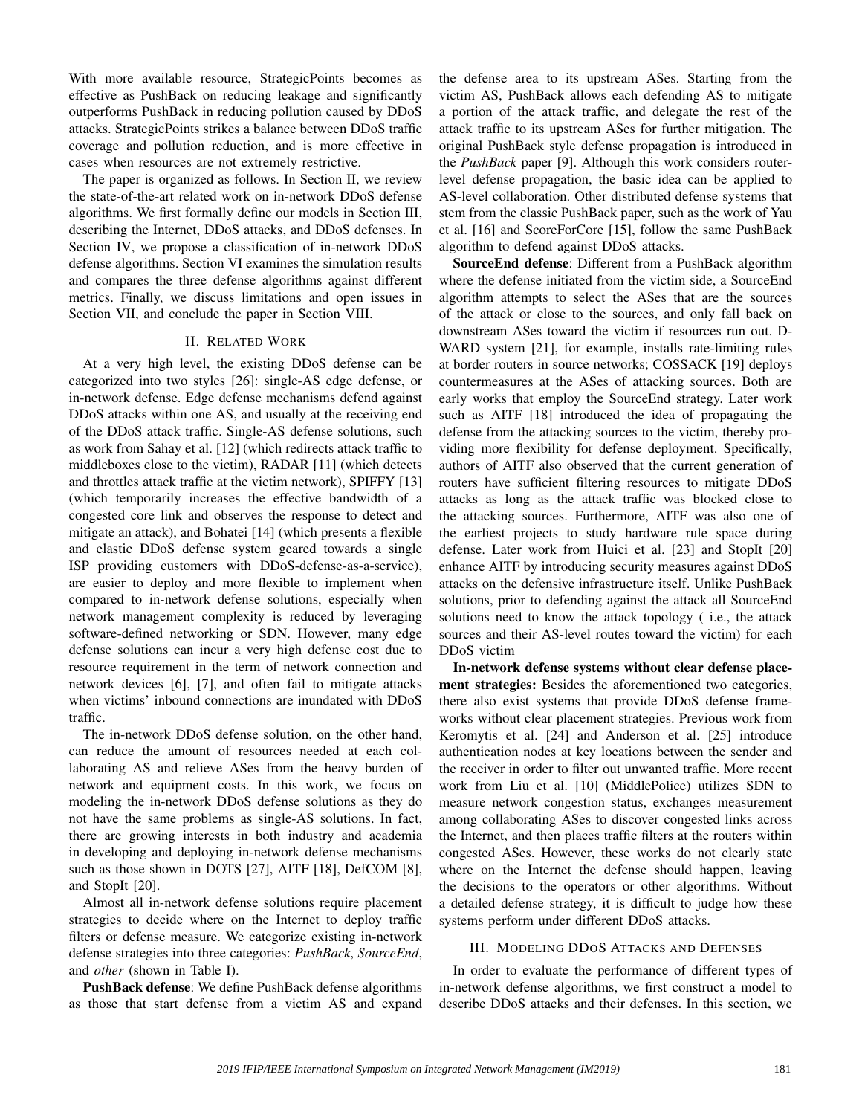With more available resource, StrategicPoints becomes as effective as PushBack on reducing leakage and significantly outperforms PushBack in reducing pollution caused by DDoS attacks. StrategicPoints strikes a balance between DDoS traffic coverage and pollution reduction, and is more effective in cases when resources are not extremely restrictive.

The paper is organized as follows. In Section II, we review the state-of-the-art related work on in-network DDoS defense algorithms. We first formally define our models in Section III, describing the Internet, DDoS attacks, and DDoS defenses. In Section IV, we propose a classification of in-network DDoS defense algorithms. Section VI examines the simulation results and compares the three defense algorithms against different metrics. Finally, we discuss limitations and open issues in Section VII, and conclude the paper in Section VIII.

# II. RELATED WORK

At a very high level, the existing DDoS defense can be categorized into two styles [26]: single-AS edge defense, or in-network defense. Edge defense mechanisms defend against DDoS attacks within one AS, and usually at the receiving end of the DDoS attack traffic. Single-AS defense solutions, such as work from Sahay et al. [12] (which redirects attack traffic to middleboxes close to the victim), RADAR [11] (which detects and throttles attack traffic at the victim network), SPIFFY [13] (which temporarily increases the effective bandwidth of a congested core link and observes the response to detect and mitigate an attack), and Bohatei [14] (which presents a flexible and elastic DDoS defense system geared towards a single ISP providing customers with DDoS-defense-as-a-service), are easier to deploy and more flexible to implement when compared to in-network defense solutions, especially when network management complexity is reduced by leveraging software-defined networking or SDN. However, many edge defense solutions can incur a very high defense cost due to resource requirement in the term of network connection and network devices [6], [7], and often fail to mitigate attacks when victims' inbound connections are inundated with DDoS traffic.

The in-network DDoS defense solution, on the other hand, can reduce the amount of resources needed at each collaborating AS and relieve ASes from the heavy burden of network and equipment costs. In this work, we focus on modeling the in-network DDoS defense solutions as they do not have the same problems as single-AS solutions. In fact, there are growing interests in both industry and academia in developing and deploying in-network defense mechanisms such as those shown in DOTS [27], AITF [18], DefCOM [8], and StopIt [20].

Almost all in-network defense solutions require placement strategies to decide where on the Internet to deploy traffic filters or defense measure. We categorize existing in-network defense strategies into three categories: *PushBack*, *SourceEnd*, and *other* (shown in Table I).

PushBack defense: We define PushBack defense algorithms as those that start defense from a victim AS and expand the defense area to its upstream ASes. Starting from the victim AS, PushBack allows each defending AS to mitigate a portion of the attack traffic, and delegate the rest of the attack traffic to its upstream ASes for further mitigation. The original PushBack style defense propagation is introduced in the *PushBack* paper [9]. Although this work considers routerlevel defense propagation, the basic idea can be applied to AS-level collaboration. Other distributed defense systems that stem from the classic PushBack paper, such as the work of Yau et al. [16] and ScoreForCore [15], follow the same PushBack algorithm to defend against DDoS attacks.

SourceEnd defense: Different from a PushBack algorithm where the defense initiated from the victim side, a SourceEnd algorithm attempts to select the ASes that are the sources of the attack or close to the sources, and only fall back on downstream ASes toward the victim if resources run out. D-WARD system [21], for example, installs rate-limiting rules at border routers in source networks; COSSACK [19] deploys countermeasures at the ASes of attacking sources. Both are early works that employ the SourceEnd strategy. Later work such as AITF [18] introduced the idea of propagating the defense from the attacking sources to the victim, thereby providing more flexibility for defense deployment. Specifically, authors of AITF also observed that the current generation of routers have sufficient filtering resources to mitigate DDoS attacks as long as the attack traffic was blocked close to the attacking sources. Furthermore, AITF was also one of the earliest projects to study hardware rule space during defense. Later work from Huici et al. [23] and StopIt [20] enhance AITF by introducing security measures against DDoS attacks on the defensive infrastructure itself. Unlike PushBack solutions, prior to defending against the attack all SourceEnd solutions need to know the attack topology ( i.e., the attack sources and their AS-level routes toward the victim) for each DDoS victim

In-network defense systems without clear defense placement strategies: Besides the aforementioned two categories, there also exist systems that provide DDoS defense frameworks without clear placement strategies. Previous work from Keromytis et al. [24] and Anderson et al. [25] introduce authentication nodes at key locations between the sender and the receiver in order to filter out unwanted traffic. More recent work from Liu et al. [10] (MiddlePolice) utilizes SDN to measure network congestion status, exchanges measurement among collaborating ASes to discover congested links across the Internet, and then places traffic filters at the routers within congested ASes. However, these works do not clearly state where on the Internet the defense should happen, leaving the decisions to the operators or other algorithms. Without a detailed defense strategy, it is difficult to judge how these systems perform under different DDoS attacks.

## III. MODELING DDOS ATTACKS AND DEFENSES

In order to evaluate the performance of different types of in-network defense algorithms, we first construct a model to describe DDoS attacks and their defenses. In this section, we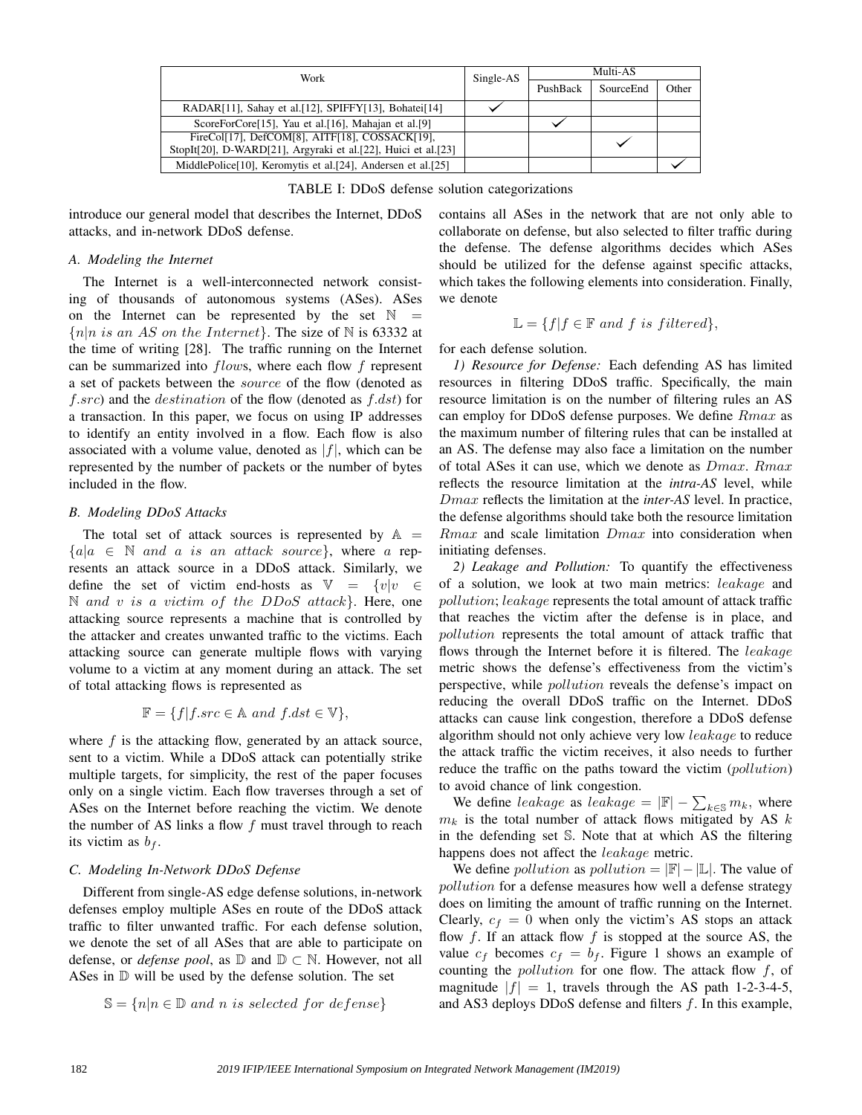| Work                                                                                                            | Single-AS | Multi-AS |           |       |
|-----------------------------------------------------------------------------------------------------------------|-----------|----------|-----------|-------|
|                                                                                                                 |           | PushBack | SourceEnd | Other |
| RADAR[11], Sahay et al.[12], SPIFFY[13], Bohatei[14]                                                            |           |          |           |       |
| ScoreForCore <sup>[15]</sup> , Yau et al. <sup>[16]</sup> , Mahajan et al. <sup>[9]</sup>                       |           |          |           |       |
| FireCol[17], DefCOM[8], AITF[18], COSSACK[19],<br>StopIt[20], D-WARD[21], Argyraki et al.[22], Huici et al.[23] |           |          |           |       |
| MiddlePolice[10], Keromytis et al.[24], Andersen et al.[25]                                                     |           |          |           |       |

TABLE I: DDoS defense solution categorizations

introduce our general model that describes the Internet, DDoS attacks, and in-network DDoS defense.

#### *A. Modeling the Internet*

The Internet is a well-interconnected network consisting of thousands of autonomous systems (ASes). ASes on the Internet can be represented by the set  $\mathbb N$  ${n|n \text{ is an AS on the Internet}}$ . The size of N is 63332 at the time of writing [28]. The traffic running on the Internet can be summarized into flows, where each flow f represent a set of packets between the source of the flow (denoted as  $f.src$ ) and the *destination* of the flow (denoted as  $f.$ *dst*) for a transaction. In this paper, we focus on using IP addresses to identify an entity involved in a flow. Each flow is also associated with a volume value, denoted as  $|f|$ , which can be represented by the number of packets or the number of bytes included in the flow.

# *B. Modeling DDoS Attacks*

The total set of attack sources is represented by  $\mathbb{A}$  =  ${a|a \in \mathbb{N}$  and a is an attack source, where a represents an attack source in a DDoS attack. Similarly, we define the set of victim end-hosts as  $\mathbb{V} = \{v|v \in$  $\mathbb N$  and v is a victim of the DDoS attack}. Here, one attacking source represents a machine that is controlled by the attacker and creates unwanted traffic to the victims. Each attacking source can generate multiple flows with varying volume to a victim at any moment during an attack. The set of total attacking flows is represented as

$$
\mathbb{F} = \{ f | f.src \in \mathbb{A} \ and \ f.dst \in \mathbb{V} \},
$$

where  $f$  is the attacking flow, generated by an attack source, sent to a victim. While a DDoS attack can potentially strike multiple targets, for simplicity, the rest of the paper focuses only on a single victim. Each flow traverses through a set of ASes on the Internet before reaching the victim. We denote the number of AS links a flow  $f$  must travel through to reach its victim as  $b_f$ .

#### *C. Modeling In-Network DDoS Defense*

Different from single-AS edge defense solutions, in-network defenses employ multiple ASes en route of the DDoS attack traffic to filter unwanted traffic. For each defense solution, we denote the set of all ASes that are able to participate on defense, or *defense pool*, as  $\mathbb{D}$  and  $\mathbb{D} \subset \mathbb{N}$ . However, not all ASes in D will be used by the defense solution. The set

$$
\mathbb{S} = \{ n | n \in \mathbb{D} \text{ and } n \text{ is selected for defense} \}
$$

contains all ASes in the network that are not only able to collaborate on defense, but also selected to filter traffic during the defense. The defense algorithms decides which ASes should be utilized for the defense against specific attacks, which takes the following elements into consideration. Finally, we denote

$$
\mathbb{L} = \{ f | f \in \mathbb{F} \text{ and } f \text{ is filtered} \},
$$

for each defense solution.

*1) Resource for Defense:* Each defending AS has limited resources in filtering DDoS traffic. Specifically, the main resource limitation is on the number of filtering rules an AS can employ for DDoS defense purposes. We define Rmax as the maximum number of filtering rules that can be installed at an AS. The defense may also face a limitation on the number of total ASes it can use, which we denote as Dmax. Rmax reflects the resource limitation at the *intra-AS* level, while Dmax reflects the limitation at the *inter-AS* level. In practice, the defense algorithms should take both the resource limitation  $Rmax$  and scale limitation  $Dmax$  into consideration when initiating defenses.

*2) Leakage and Pollution:* To quantify the effectiveness of a solution, we look at two main metrics: leakage and pollution; leakage represents the total amount of attack traffic that reaches the victim after the defense is in place, and pollution represents the total amount of attack traffic that flows through the Internet before it is filtered. The leakage metric shows the defense's effectiveness from the victim's perspective, while *pollution* reveals the defense's impact on reducing the overall DDoS traffic on the Internet. DDoS attacks can cause link congestion, therefore a DDoS defense algorithm should not only achieve very low *leakage* to reduce the attack traffic the victim receives, it also needs to further reduce the traffic on the paths toward the victim (*pollution*) to avoid chance of link congestion.

We define leakage as leakage =  $|\mathbb{F}| - \sum_{k \in \mathbb{S}} m_k$ , where  $m_k$  is the total number of attack flows mitigated by AS  $k$ in the defending set S. Note that at which AS the filtering happens does not affect the leakage metric.

We define *pollution* as *pollution* =  $|\mathbb{F}|-|\mathbb{L}|$ . The value of pollution for a defense measures how well a defense strategy does on limiting the amount of traffic running on the Internet. Clearly,  $c_f = 0$  when only the victim's AS stops an attack flow  $f$ . If an attack flow  $f$  is stopped at the source AS, the value  $c_f$  becomes  $c_f = b_f$ . Figure 1 shows an example of counting the pollution for one flow. The attack flow f, of magnitude  $|f| = 1$ , travels through the AS path 1-2-3-4-5, and AS3 deploys DDoS defense and filters f. In this example,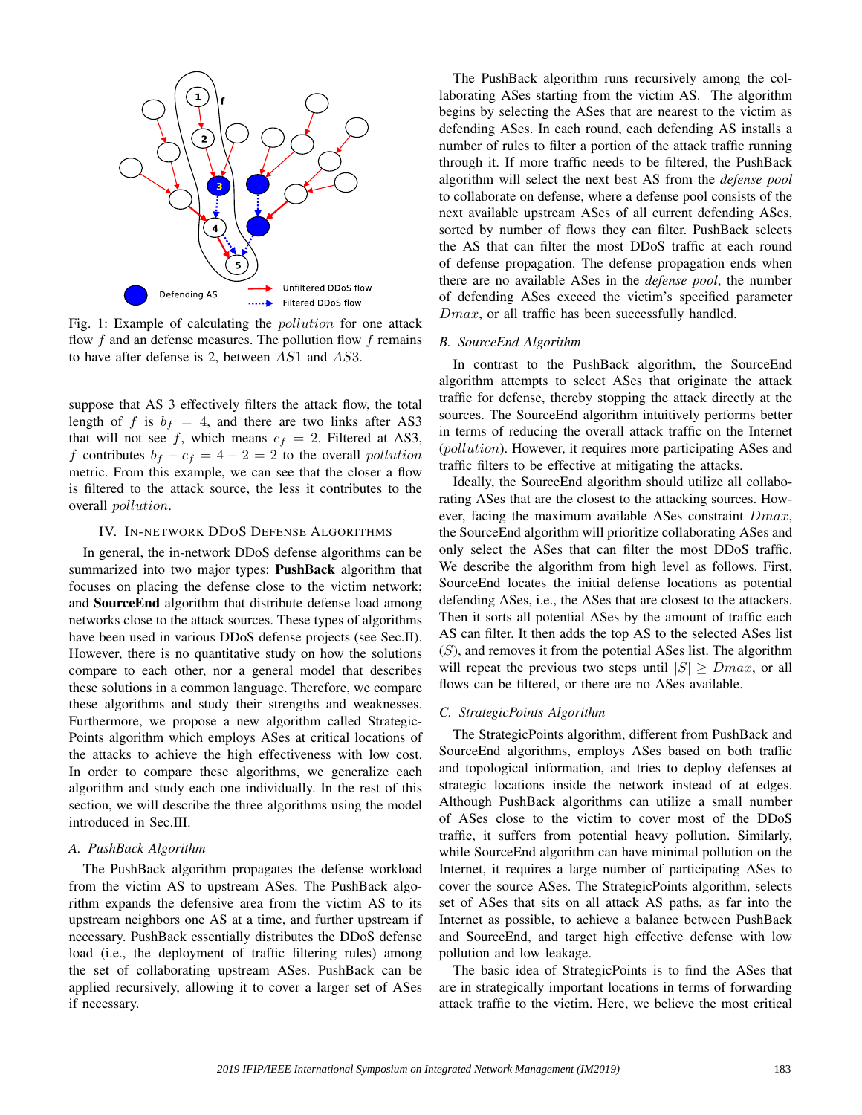

Fig. 1: Example of calculating the *pollution* for one attack flow  $f$  and an defense measures. The pollution flow  $f$  remains to have after defense is 2, between AS1 and AS3.

suppose that AS 3 effectively filters the attack flow, the total length of f is  $b_f = 4$ , and there are two links after AS3 that will not see f, which means  $c_f = 2$ . Filtered at AS3, f contributes  $b_f - c_f = 4 - 2 = 2$  to the overall *pollution* metric. From this example, we can see that the closer a flow is filtered to the attack source, the less it contributes to the overall pollution.

## IV. IN-NETWORK DDOS DEFENSE ALGORITHMS

In general, the in-network DDoS defense algorithms can be summarized into two major types: **PushBack** algorithm that focuses on placing the defense close to the victim network; and SourceEnd algorithm that distribute defense load among networks close to the attack sources. These types of algorithms have been used in various DDoS defense projects (see Sec.II). However, there is no quantitative study on how the solutions compare to each other, nor a general model that describes these solutions in a common language. Therefore, we compare these algorithms and study their strengths and weaknesses. Furthermore, we propose a new algorithm called Strategic-Points algorithm which employs ASes at critical locations of the attacks to achieve the high effectiveness with low cost. In order to compare these algorithms, we generalize each algorithm and study each one individually. In the rest of this section, we will describe the three algorithms using the model introduced in Sec.III.

#### *A. PushBack Algorithm*

The PushBack algorithm propagates the defense workload from the victim AS to upstream ASes. The PushBack algorithm expands the defensive area from the victim AS to its upstream neighbors one AS at a time, and further upstream if necessary. PushBack essentially distributes the DDoS defense load (i.e., the deployment of traffic filtering rules) among the set of collaborating upstream ASes. PushBack can be applied recursively, allowing it to cover a larger set of ASes if necessary.

The PushBack algorithm runs recursively among the collaborating ASes starting from the victim AS. The algorithm begins by selecting the ASes that are nearest to the victim as defending ASes. In each round, each defending AS installs a number of rules to filter a portion of the attack traffic running through it. If more traffic needs to be filtered, the PushBack algorithm will select the next best AS from the *defense pool* to collaborate on defense, where a defense pool consists of the next available upstream ASes of all current defending ASes, sorted by number of flows they can filter. PushBack selects the AS that can filter the most DDoS traffic at each round of defense propagation. The defense propagation ends when there are no available ASes in the *defense pool*, the number of defending ASes exceed the victim's specified parameter  $Dmax$ , or all traffic has been successfully handled.

## *B. SourceEnd Algorithm*

In contrast to the PushBack algorithm, the SourceEnd algorithm attempts to select ASes that originate the attack traffic for defense, thereby stopping the attack directly at the sources. The SourceEnd algorithm intuitively performs better in terms of reducing the overall attack traffic on the Internet (pollution). However, it requires more participating ASes and traffic filters to be effective at mitigating the attacks.

Ideally, the SourceEnd algorithm should utilize all collaborating ASes that are the closest to the attacking sources. However, facing the maximum available ASes constraint  $Dmax$ , the SourceEnd algorithm will prioritize collaborating ASes and only select the ASes that can filter the most DDoS traffic. We describe the algorithm from high level as follows. First, SourceEnd locates the initial defense locations as potential defending ASes, i.e., the ASes that are closest to the attackers. Then it sorts all potential ASes by the amount of traffic each AS can filter. It then adds the top AS to the selected ASes list  $(S)$ , and removes it from the potential ASes list. The algorithm will repeat the previous two steps until  $|S| \geq Dmax$ , or all flows can be filtered, or there are no ASes available.

# *C. StrategicPoints Algorithm*

The StrategicPoints algorithm, different from PushBack and SourceEnd algorithms, employs ASes based on both traffic and topological information, and tries to deploy defenses at strategic locations inside the network instead of at edges. Although PushBack algorithms can utilize a small number of ASes close to the victim to cover most of the DDoS traffic, it suffers from potential heavy pollution. Similarly, while SourceEnd algorithm can have minimal pollution on the Internet, it requires a large number of participating ASes to cover the source ASes. The StrategicPoints algorithm, selects set of ASes that sits on all attack AS paths, as far into the Internet as possible, to achieve a balance between PushBack and SourceEnd, and target high effective defense with low pollution and low leakage.

The basic idea of StrategicPoints is to find the ASes that are in strategically important locations in terms of forwarding attack traffic to the victim. Here, we believe the most critical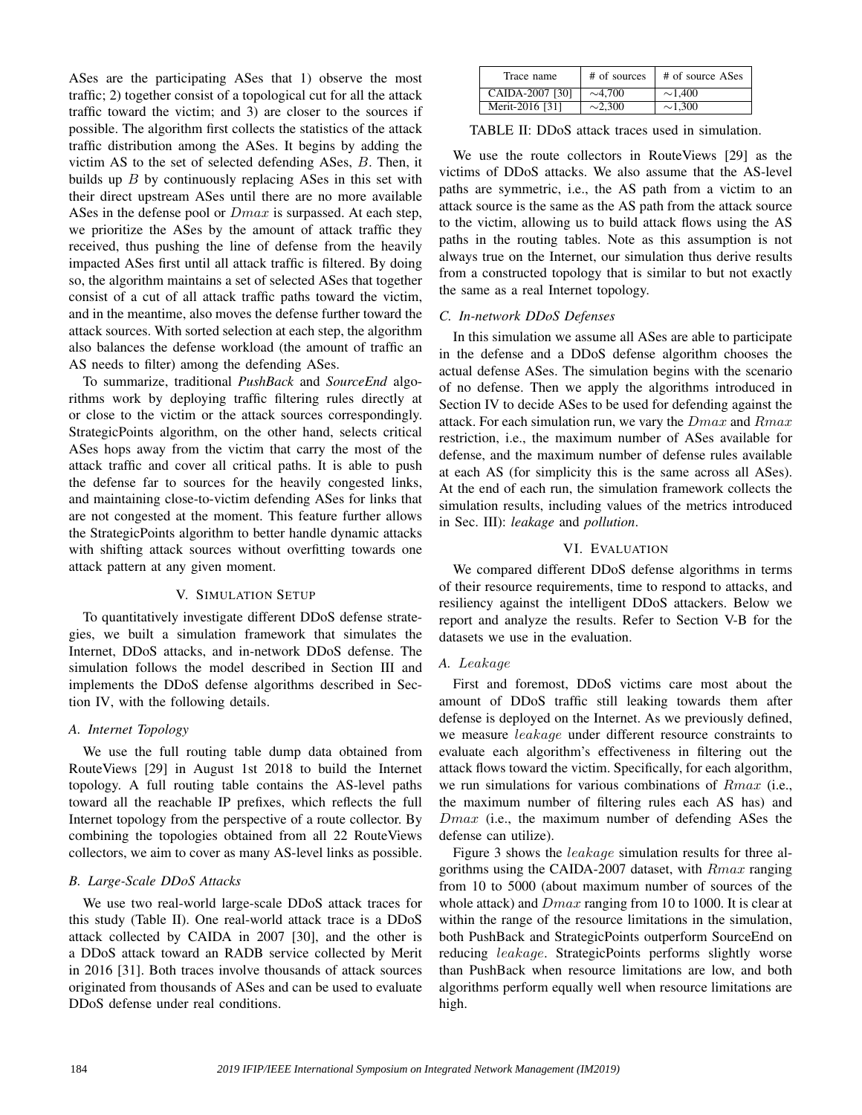ASes are the participating ASes that 1) observe the most traffic; 2) together consist of a topological cut for all the attack traffic toward the victim; and 3) are closer to the sources if possible. The algorithm first collects the statistics of the attack traffic distribution among the ASes. It begins by adding the victim AS to the set of selected defending ASes, B. Then, it builds up  $B$  by continuously replacing ASes in this set with their direct upstream ASes until there are no more available ASes in the defense pool or  $Dmax$  is surpassed. At each step, we prioritize the ASes by the amount of attack traffic they received, thus pushing the line of defense from the heavily impacted ASes first until all attack traffic is filtered. By doing so, the algorithm maintains a set of selected ASes that together consist of a cut of all attack traffic paths toward the victim, and in the meantime, also moves the defense further toward the attack sources. With sorted selection at each step, the algorithm also balances the defense workload (the amount of traffic an AS needs to filter) among the defending ASes.

To summarize, traditional *PushBack* and *SourceEnd* algorithms work by deploying traffic filtering rules directly at or close to the victim or the attack sources correspondingly. StrategicPoints algorithm, on the other hand, selects critical ASes hops away from the victim that carry the most of the attack traffic and cover all critical paths. It is able to push the defense far to sources for the heavily congested links, and maintaining close-to-victim defending ASes for links that are not congested at the moment. This feature further allows the StrategicPoints algorithm to better handle dynamic attacks with shifting attack sources without overfitting towards one attack pattern at any given moment.

## V. SIMULATION SETUP

To quantitatively investigate different DDoS defense strategies, we built a simulation framework that simulates the Internet, DDoS attacks, and in-network DDoS defense. The simulation follows the model described in Section III and implements the DDoS defense algorithms described in Section IV, with the following details.

# *A. Internet Topology*

We use the full routing table dump data obtained from RouteViews [29] in August 1st 2018 to build the Internet topology. A full routing table contains the AS-level paths toward all the reachable IP prefixes, which reflects the full Internet topology from the perspective of a route collector. By combining the topologies obtained from all 22 RouteViews collectors, we aim to cover as many AS-level links as possible.

# *B. Large-Scale DDoS Attacks*

We use two real-world large-scale DDoS attack traces for this study (Table II). One real-world attack trace is a DDoS attack collected by CAIDA in 2007 [30], and the other is a DDoS attack toward an RADB service collected by Merit in 2016 [31]. Both traces involve thousands of attack sources originated from thousands of ASes and can be used to evaluate DDoS defense under real conditions.

| Trace name      | # of sources | # of source ASes |
|-----------------|--------------|------------------|
| CAIDA-2007 [30] | $\sim$ 4.700 | $\sim$ 1.400     |
| Merit-2016 [31] | $\sim$ 2.300 | $\sim$ 1.300     |

TABLE II: DDoS attack traces used in simulation.

We use the route collectors in RouteViews [29] as the victims of DDoS attacks. We also assume that the AS-level paths are symmetric, i.e., the AS path from a victim to an attack source is the same as the AS path from the attack source to the victim, allowing us to build attack flows using the AS paths in the routing tables. Note as this assumption is not always true on the Internet, our simulation thus derive results from a constructed topology that is similar to but not exactly the same as a real Internet topology.

# *C. In-network DDoS Defenses*

In this simulation we assume all ASes are able to participate in the defense and a DDoS defense algorithm chooses the actual defense ASes. The simulation begins with the scenario of no defense. Then we apply the algorithms introduced in Section IV to decide ASes to be used for defending against the attack. For each simulation run, we vary the  $Dmax$  and  $Rmax$ restriction, i.e., the maximum number of ASes available for defense, and the maximum number of defense rules available at each AS (for simplicity this is the same across all ASes). At the end of each run, the simulation framework collects the simulation results, including values of the metrics introduced in Sec. III): *leakage* and *pollution*.

# VI. EVALUATION

We compared different DDoS defense algorithms in terms of their resource requirements, time to respond to attacks, and resiliency against the intelligent DDoS attackers. Below we report and analyze the results. Refer to Section V-B for the datasets we use in the evaluation.

# *A.* Leakage

First and foremost, DDoS victims care most about the amount of DDoS traffic still leaking towards them after defense is deployed on the Internet. As we previously defined, we measure leakage under different resource constraints to evaluate each algorithm's effectiveness in filtering out the attack flows toward the victim. Specifically, for each algorithm, we run simulations for various combinations of Rmax (i.e., the maximum number of filtering rules each AS has) and  $Dmax$  (i.e., the maximum number of defending ASes the defense can utilize).

Figure 3 shows the leakage simulation results for three algorithms using the CAIDA-2007 dataset, with Rmax ranging from 10 to 5000 (about maximum number of sources of the whole attack) and  $Dmax$  ranging from 10 to 1000. It is clear at within the range of the resource limitations in the simulation, both PushBack and StrategicPoints outperform SourceEnd on reducing leakage. StrategicPoints performs slightly worse than PushBack when resource limitations are low, and both algorithms perform equally well when resource limitations are high.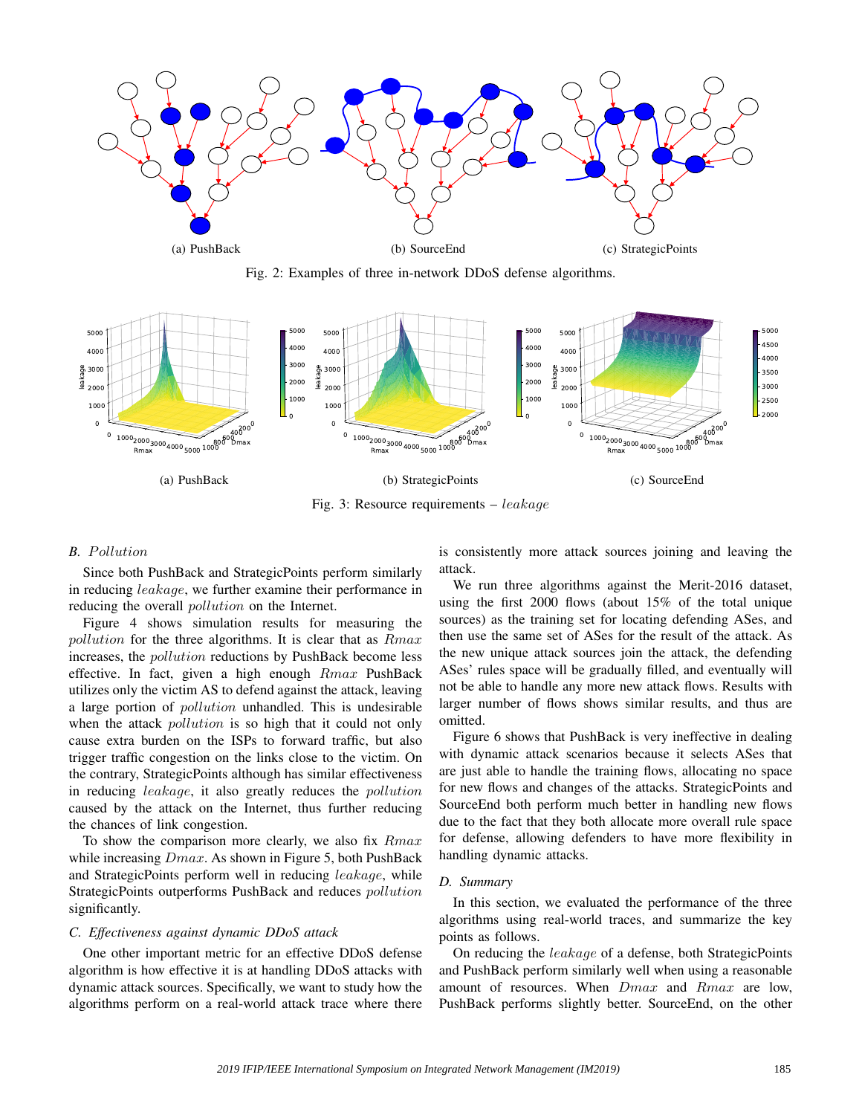

Fig. 2: Examples of three in-network DDoS defense algorithms.



Fig. 3: Resource requirements – leakage

## **B.** Pollution

Since both PushBack and StrategicPoints perform similarly in reducing leakage, we further examine their performance in reducing the overall *pollution* on the Internet.

Figure 4 shows simulation results for measuring the pollution for the three algorithms. It is clear that as  $Rmax$ increases, the pollution reductions by PushBack become less effective. In fact, given a high enough Rmax PushBack utilizes only the victim AS to defend against the attack, leaving a large portion of pollution unhandled. This is undesirable when the attack *pollution* is so high that it could not only cause extra burden on the ISPs to forward traffic, but also trigger traffic congestion on the links close to the victim. On the contrary, StrategicPoints although has similar effectiveness in reducing leakage, it also greatly reduces the pollution caused by the attack on the Internet, thus further reducing the chances of link congestion.

To show the comparison more clearly, we also fix  $Rmax$ while increasing  $Dmax$ . As shown in Figure 5, both PushBack and StrategicPoints perform well in reducing leakage, while StrategicPoints outperforms PushBack and reduces pollution significantly.

# *C. Effectiveness against dynamic DDoS attack*

One other important metric for an effective DDoS defense algorithm is how effective it is at handling DDoS attacks with dynamic attack sources. Specifically, we want to study how the algorithms perform on a real-world attack trace where there

is consistently more attack sources joining and leaving the attack.

We run three algorithms against the Merit-2016 dataset, using the first 2000 flows (about 15% of the total unique sources) as the training set for locating defending ASes, and then use the same set of ASes for the result of the attack. As the new unique attack sources join the attack, the defending ASes' rules space will be gradually filled, and eventually will not be able to handle any more new attack flows. Results with larger number of flows shows similar results, and thus are omitted.

Figure 6 shows that PushBack is very ineffective in dealing with dynamic attack scenarios because it selects ASes that are just able to handle the training flows, allocating no space for new flows and changes of the attacks. StrategicPoints and SourceEnd both perform much better in handling new flows due to the fact that they both allocate more overall rule space for defense, allowing defenders to have more flexibility in handling dynamic attacks.

## *D. Summary*

In this section, we evaluated the performance of the three algorithms using real-world traces, and summarize the key points as follows.

On reducing the leakage of a defense, both StrategicPoints and PushBack perform similarly well when using a reasonable amount of resources. When Dmax and Rmax are low, PushBack performs slightly better. SourceEnd, on the other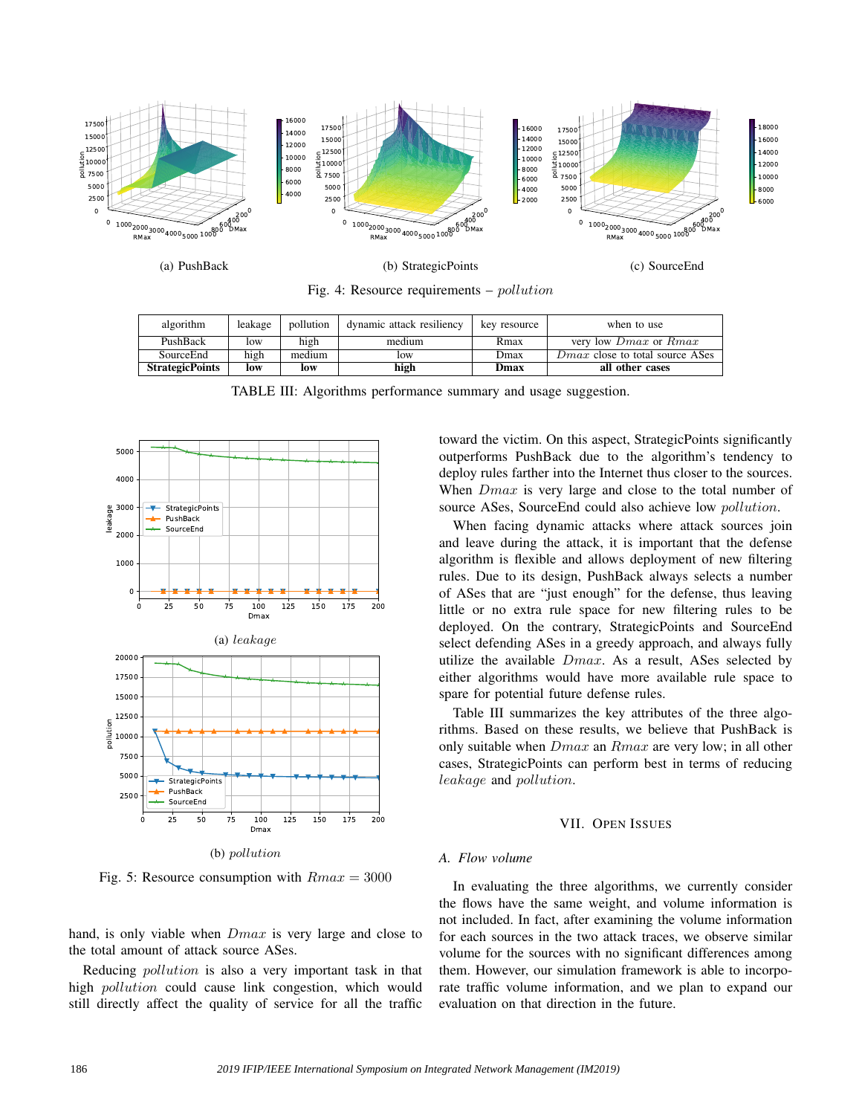

Fig. 4: Resource requirements – pollution

| algorithm              | leakage | pollution | dynamic attack resiliency | key resource | when to use                            |
|------------------------|---------|-----------|---------------------------|--------------|----------------------------------------|
| PushBack               | low     | high      | medium                    | Rmax         | very low <i>Dmax</i> or <i>Rmax</i>    |
| SourceEnd              | high    | medium    | low                       | Dmax         | <i>Dmax</i> close to total source ASes |
| <b>StrategicPoints</b> | low     | low       | high                      | Dmax         | all other cases                        |

TABLE III: Algorithms performance summary and usage suggestion.



Fig. 5: Resource consumption with  $Rmax = 3000$ 

hand, is only viable when  $Dmax$  is very large and close to the total amount of attack source ASes.

Reducing pollution is also a very important task in that high pollution could cause link congestion, which would still directly affect the quality of service for all the traffic

toward the victim. On this aspect, StrategicPoints significantly outperforms PushBack due to the algorithm's tendency to deploy rules farther into the Internet thus closer to the sources. When *Dmax* is very large and close to the total number of source ASes, SourceEnd could also achieve low pollution.

When facing dynamic attacks where attack sources join and leave during the attack, it is important that the defense algorithm is flexible and allows deployment of new filtering rules. Due to its design, PushBack always selects a number of ASes that are "just enough" for the defense, thus leaving little or no extra rule space for new filtering rules to be deployed. On the contrary, StrategicPoints and SourceEnd select defending ASes in a greedy approach, and always fully utilize the available  $Dmax$ . As a result, ASes selected by either algorithms would have more available rule space to spare for potential future defense rules.

Table III summarizes the key attributes of the three algorithms. Based on these results, we believe that PushBack is only suitable when  $Dmax$  an  $Rmax$  are very low; in all other cases, StrategicPoints can perform best in terms of reducing leakage and pollution.

#### VII. OPEN ISSUES

#### *A. Flow volume*

In evaluating the three algorithms, we currently consider the flows have the same weight, and volume information is not included. In fact, after examining the volume information for each sources in the two attack traces, we observe similar volume for the sources with no significant differences among them. However, our simulation framework is able to incorporate traffic volume information, and we plan to expand our evaluation on that direction in the future.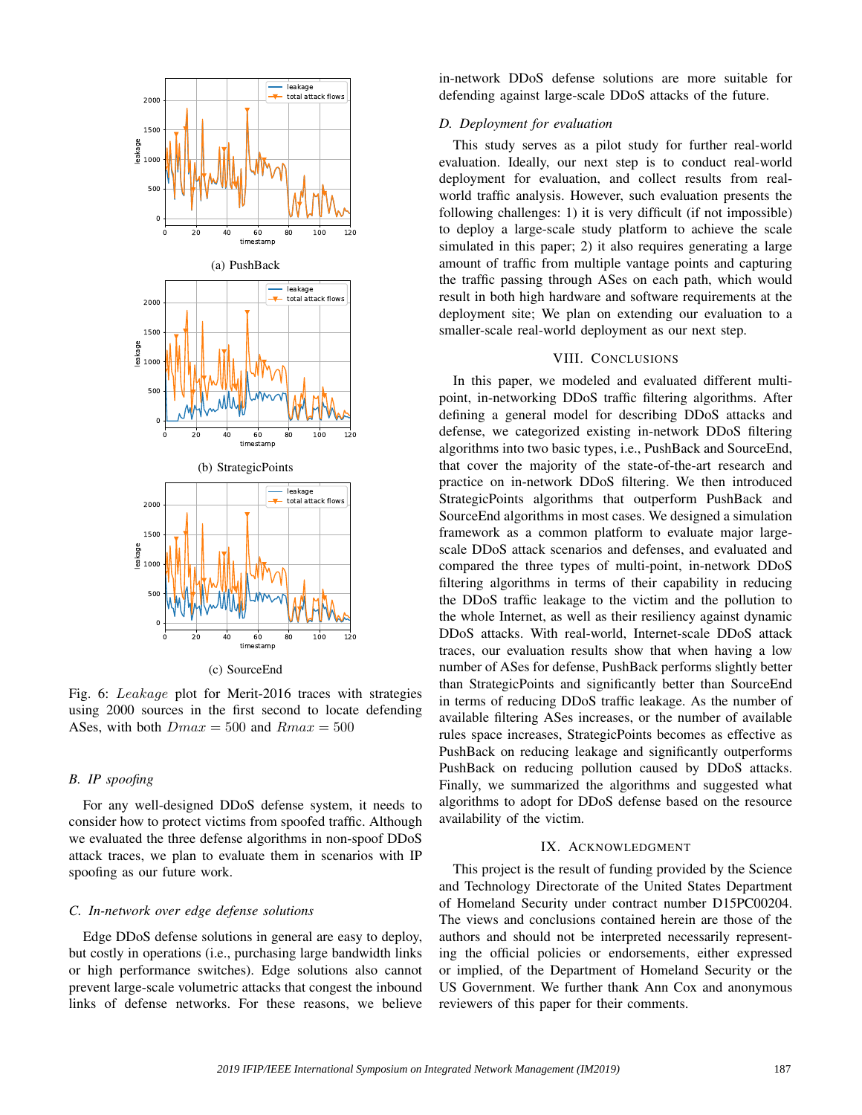

(c) SourceEnd

Fig. 6: Leakage plot for Merit-2016 traces with strategies using 2000 sources in the first second to locate defending ASes, with both  $Dmax = 500$  and  $Rmax = 500$ 

## *B. IP spoofing*

For any well-designed DDoS defense system, it needs to consider how to protect victims from spoofed traffic. Although we evaluated the three defense algorithms in non-spoof DDoS attack traces, we plan to evaluate them in scenarios with IP spoofing as our future work.

# *C. In-network over edge defense solutions*

Edge DDoS defense solutions in general are easy to deploy, but costly in operations (i.e., purchasing large bandwidth links or high performance switches). Edge solutions also cannot prevent large-scale volumetric attacks that congest the inbound links of defense networks. For these reasons, we believe in-network DDoS defense solutions are more suitable for defending against large-scale DDoS attacks of the future.

# *D. Deployment for evaluation*

This study serves as a pilot study for further real-world evaluation. Ideally, our next step is to conduct real-world deployment for evaluation, and collect results from realworld traffic analysis. However, such evaluation presents the following challenges: 1) it is very difficult (if not impossible) to deploy a large-scale study platform to achieve the scale simulated in this paper; 2) it also requires generating a large amount of traffic from multiple vantage points and capturing the traffic passing through ASes on each path, which would result in both high hardware and software requirements at the deployment site; We plan on extending our evaluation to a smaller-scale real-world deployment as our next step.

# VIII. CONCLUSIONS

In this paper, we modeled and evaluated different multipoint, in-networking DDoS traffic filtering algorithms. After defining a general model for describing DDoS attacks and defense, we categorized existing in-network DDoS filtering algorithms into two basic types, i.e., PushBack and SourceEnd, that cover the majority of the state-of-the-art research and practice on in-network DDoS filtering. We then introduced StrategicPoints algorithms that outperform PushBack and SourceEnd algorithms in most cases. We designed a simulation framework as a common platform to evaluate major largescale DDoS attack scenarios and defenses, and evaluated and compared the three types of multi-point, in-network DDoS filtering algorithms in terms of their capability in reducing the DDoS traffic leakage to the victim and the pollution to the whole Internet, as well as their resiliency against dynamic DDoS attacks. With real-world, Internet-scale DDoS attack traces, our evaluation results show that when having a low number of ASes for defense, PushBack performs slightly better than StrategicPoints and significantly better than SourceEnd in terms of reducing DDoS traffic leakage. As the number of available filtering ASes increases, or the number of available rules space increases, StrategicPoints becomes as effective as PushBack on reducing leakage and significantly outperforms PushBack on reducing pollution caused by DDoS attacks. Finally, we summarized the algorithms and suggested what algorithms to adopt for DDoS defense based on the resource availability of the victim.

#### IX. ACKNOWLEDGMENT

This project is the result of funding provided by the Science and Technology Directorate of the United States Department of Homeland Security under contract number D15PC00204. The views and conclusions contained herein are those of the authors and should not be interpreted necessarily representing the official policies or endorsements, either expressed or implied, of the Department of Homeland Security or the US Government. We further thank Ann Cox and anonymous reviewers of this paper for their comments.